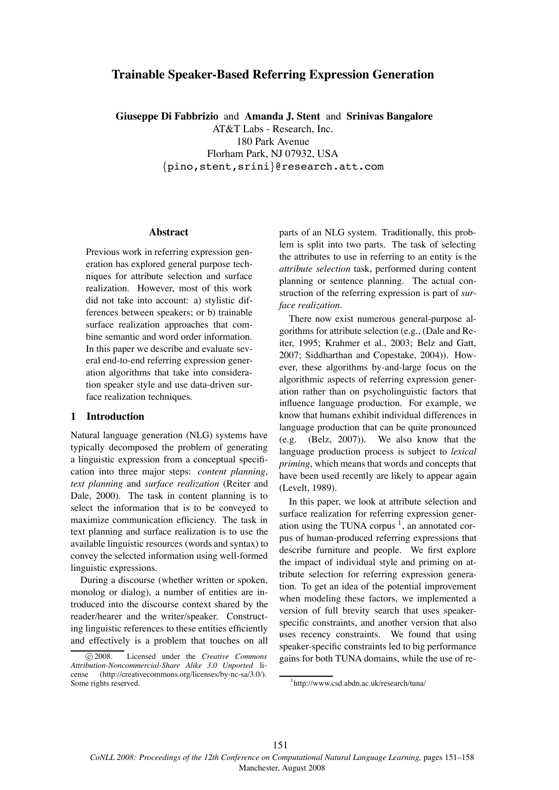# **Trainable Speaker-Based Referring Expression Generation**

**Giuseppe Di Fabbrizio** and **Amanda J. Stent** and **Srinivas Bangalore**

AT&T Labs - Research, Inc. 180 Park Avenue Florham Park, NJ 07932, USA {pino,stent,srini}@research.att.com

# **Abstract**

Previous work in referring expression generation has explored general purpose techniques for attribute selection and surface realization. However, most of this work did not take into account: a) stylistic differences between speakers; or b) trainable surface realization approaches that combine semantic and word order information. In this paper we describe and evaluate several end-to-end referring expression generation algorithms that take into consideration speaker style and use data-driven surface realization techniques.

# **1 Introduction**

Natural language generation (NLG) systems have typically decomposed the problem of generating a linguistic expression from a conceptual specification into three major steps: *content planning*, *text planning* and *surface realization* (Reiter and Dale, 2000). The task in content planning is to select the information that is to be conveyed to maximize communication efficiency. The task in text planning and surface realization is to use the available linguistic resources (words and syntax) to convey the selected information using well-formed linguistic expressions.

During a discourse (whether written or spoken, monolog or dialog), a number of entities are introduced into the discourse context shared by the reader/hearer and the writer/speaker. Constructing linguistic references to these entities efficiently and effectively is a problem that touches on all

parts of an NLG system. Traditionally, this problem is split into two parts. The task of selecting the attributes to use in referring to an entity is the *attribute selection* task, performed during content planning or sentence planning. The actual construction of the referring expression is part of *surface realization*.

There now exist numerous general-purpose algorithms for attribute selection (e.g., (Dale and Reiter, 1995; Krahmer et al., 2003; Belz and Gatt, 2007; Siddharthan and Copestake, 2004)). However, these algorithms by-and-large focus on the algorithmic aspects of referring expression generation rather than on psycholinguistic factors that influence language production. For example, we know that humans exhibit individual differences in language production that can be quite pronounced (e.g. (Belz, 2007)). We also know that the language production process is subject to *lexical priming*, which means that words and concepts that have been used recently are likely to appear again (Levelt, 1989).

In this paper, we look at attribute selection and surface realization for referring expression generation using the TUNA corpus<sup>1</sup>, an annotated corpus of human-produced referring expressions that describe furniture and people. We first explore the impact of individual style and priming on attribute selection for referring expression generation. To get an idea of the potential improvement when modeling these factors, we implemented a version of full brevity search that uses speakerspecific constraints, and another version that also uses recency constraints. We found that using speaker-specific constraints led to big performance gains for both TUNA domains, while the use of re-

<sup>!</sup>c 2008. Licensed under the *Creative Commons Attribution-Noncommercial-Share Alike 3.0 Unported* license (http://creativecommons.org/licenses/by-nc-sa/3.0/). Some rights reserved.

<sup>1</sup> http://www.csd.abdn.ac.uk/research/tuna/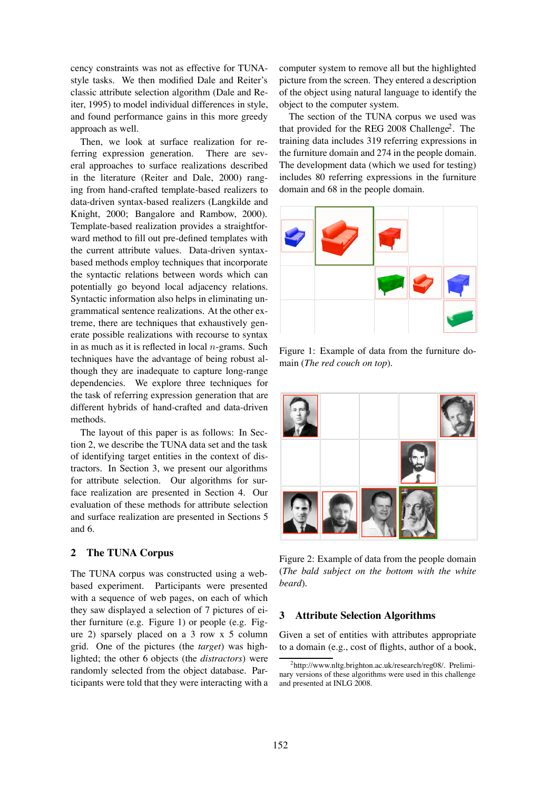cency constraints was not as effective for TUNAstyle tasks. We then modified Dale and Reiter's classic attribute selection algorithm (Dale and Reiter, 1995) to model individual differences in style, and found performance gains in this more greedy approach as well.

Then, we look at surface realization for referring expression generation. There are several approaches to surface realizations described in the literature (Reiter and Dale, 2000) ranging from hand-crafted template-based realizers to data-driven syntax-based realizers (Langkilde and Knight, 2000; Bangalore and Rambow, 2000). Template-based realization provides a straightforward method to fill out pre-defined templates with the current attribute values. Data-driven syntaxbased methods employ techniques that incorporate the syntactic relations between words which can potentially go beyond local adjacency relations. Syntactic information also helps in eliminating ungrammatical sentence realizations. At the other extreme, there are techniques that exhaustively generate possible realizations with recourse to syntax in as much as it is reflected in local  $n$ -grams. Such techniques have the advantage of being robust although they are inadequate to capture long-range dependencies. We explore three techniques for the task of referring expression generation that are different hybrids of hand-crafted and data-driven methods.

The layout of this paper is as follows: In Section 2, we describe the TUNA data set and the task of identifying target entities in the context of distractors. In Section 3, we present our algorithms for attribute selection. Our algorithms for surface realization are presented in Section 4. Our evaluation of these methods for attribute selection and surface realization are presented in Sections 5 and 6.

# **2 The TUNA Corpus**

The TUNA corpus was constructed using a webbased experiment. Participants were presented with a sequence of web pages, on each of which they saw displayed a selection of 7 pictures of either furniture (e.g. Figure 1) or people (e.g. Figure 2) sparsely placed on a 3 row x 5 column grid. One of the pictures (the *target*) was highlighted; the other 6 objects (the *distractors*) were randomly selected from the object database. Participants were told that they were interacting with a

computer system to remove all but the highlighted picture from the screen. They entered a description of the object using natural language to identify the object to the computer system.

The section of the TUNA corpus we used was that provided for the REG 2008 Challenge<sup>2</sup>. The training data includes 319 referring expressions in the furniture domain and 274 in the people domain. The development data (which we used for testing) includes 80 referring expressions in the furniture domain and 68 in the people domain.



Figure 1: Example of data from the furniture domain (*The red couch on top*).



Figure 2: Example of data from the people domain (*The bald subject on the bottom with the white beard*).

# **3 Attribute Selection Algorithms**

Given a set of entities with attributes appropriate to a domain (e.g., cost of flights, author of a book,

<sup>2</sup> http://www.nltg.brighton.ac.uk/research/reg08/. Preliminary versions of these algorithms were used in this challenge and presented at INLG 2008.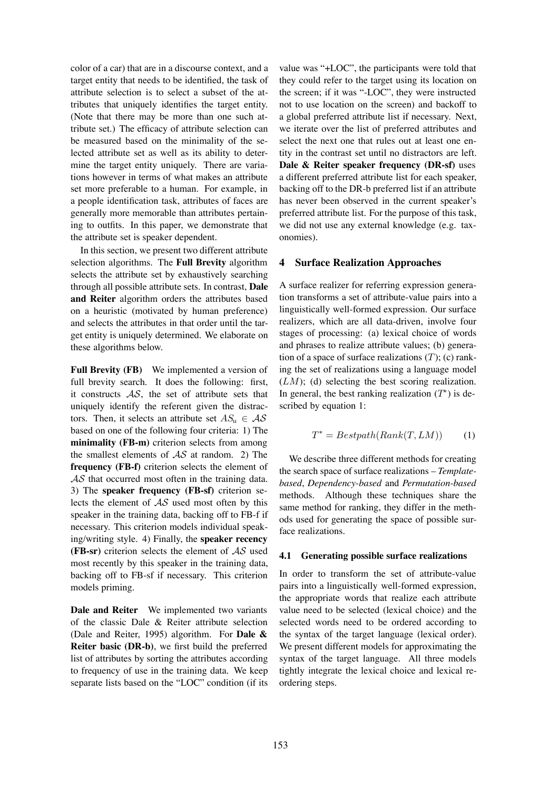color of a car) that are in a discourse context, and a target entity that needs to be identified, the task of attribute selection is to select a subset of the attributes that uniquely identifies the target entity. (Note that there may be more than one such attribute set.) The efficacy of attribute selection can be measured based on the minimality of the selected attribute set as well as its ability to determine the target entity uniquely. There are variations however in terms of what makes an attribute set more preferable to a human. For example, in a people identification task, attributes of faces are generally more memorable than attributes pertaining to outfits. In this paper, we demonstrate that the attribute set is speaker dependent.

In this section, we present two different attribute selection algorithms. The **Full Brevity** algorithm selects the attribute set by exhaustively searching through all possible attribute sets. In contrast, **Dale and Reiter** algorithm orders the attributes based on a heuristic (motivated by human preference) and selects the attributes in that order until the target entity is uniquely determined. We elaborate on these algorithms below.

**Full Brevity (FB)** We implemented a version of full brevity search. It does the following: first, it constructs  $AS$ , the set of attribute sets that uniquely identify the referent given the distractors. Then, it selects an attribute set  $AS_u \in \mathcal{AS}$ based on one of the following four criteria: 1) The **minimality (FB-m)** criterion selects from among the smallest elements of  $AS$  at random. 2) The **frequency (FB-f)** criterion selects the element of AS that occurred most often in the training data. 3) The **speaker frequency (FB-sf)** criterion selects the element of  $AS$  used most often by this speaker in the training data, backing off to FB-f if necessary. This criterion models individual speaking/writing style. 4) Finally, the **speaker recency (FB-sr)** criterion selects the element of AS used most recently by this speaker in the training data, backing off to FB-sf if necessary. This criterion models priming.

**Dale and Reiter** We implemented two variants of the classic Dale & Reiter attribute selection (Dale and Reiter, 1995) algorithm. For **Dale & Reiter basic (DR-b)**, we first build the preferred list of attributes by sorting the attributes according to frequency of use in the training data. We keep separate lists based on the "LOC" condition (if its

value was "+LOC", the participants were told that they could refer to the target using its location on the screen; if it was "-LOC", they were instructed not to use location on the screen) and backoff to a global preferred attribute list if necessary. Next, we iterate over the list of preferred attributes and select the next one that rules out at least one entity in the contrast set until no distractors are left. **Dale & Reiter speaker frequency (DR-sf)** uses a different preferred attribute list for each speaker, backing off to the DR-b preferred list if an attribute has never been observed in the current speaker's preferred attribute list. For the purpose of this task, we did not use any external knowledge (e.g. taxonomies).

#### **4 Surface Realization Approaches**

A surface realizer for referring expression generation transforms a set of attribute-value pairs into a linguistically well-formed expression. Our surface realizers, which are all data-driven, involve four stages of processing: (a) lexical choice of words and phrases to realize attribute values; (b) generation of a space of surface realizations  $(T)$ ; (c) ranking the set of realizations using a language model  $(LM)$ ; (d) selecting the best scoring realization. In general, the best ranking realization  $(T^*)$  is described by equation 1:

$$
T^* = Bestpath(Rank(T, LM))
$$
 (1)

We describe three different methods for creating the search space of surface realizations – *Templatebased*, *Dependency-based* and *Permutation-based* methods. Although these techniques share the same method for ranking, they differ in the methods used for generating the space of possible surface realizations.

#### **4.1 Generating possible surface realizations**

In order to transform the set of attribute-value pairs into a linguistically well-formed expression, the appropriate words that realize each attribute value need to be selected (lexical choice) and the selected words need to be ordered according to the syntax of the target language (lexical order). We present different models for approximating the syntax of the target language. All three models tightly integrate the lexical choice and lexical reordering steps.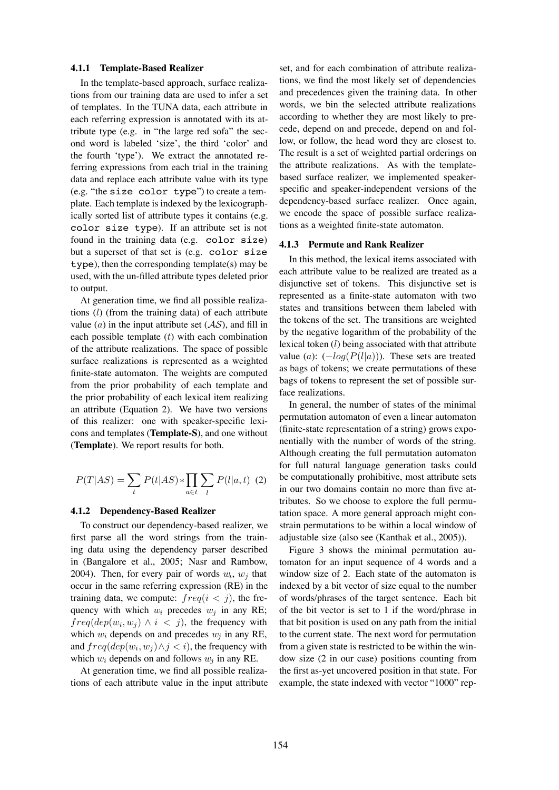# **4.1.1 Template-Based Realizer**

In the template-based approach, surface realizations from our training data are used to infer a set of templates. In the TUNA data, each attribute in each referring expression is annotated with its attribute type (e.g. in "the large red sofa" the second word is labeled 'size', the third 'color' and the fourth 'type'). We extract the annotated referring expressions from each trial in the training data and replace each attribute value with its type (e.g. "the size color type") to create a template. Each template is indexed by the lexicographically sorted list of attribute types it contains (e.g. color size type). If an attribute set is not found in the training data (e.g. color size) but a superset of that set is (e.g. color size type), then the corresponding template(s) may be used, with the un-filled attribute types deleted prior to output.

At generation time, we find all possible realizations  $(l)$  (from the training data) of each attribute value (a) in the input attribute set  $(AS)$ , and fill in each possible template  $(t)$  with each combination of the attribute realizations. The space of possible surface realizations is represented as a weighted finite-state automaton. The weights are computed from the prior probability of each template and the prior probability of each lexical item realizing an attribute (Equation 2). We have two versions of this realizer: one with speaker-specific lexicons and templates (**Template-S**), and one without (**Template**). We report results for both.

$$
P(T|AS) = \sum_{t} P(t|AS) * \prod_{a \in t} \sum_{l} P(l|a, t)
$$
 (2)

### **4.1.2 Dependency-Based Realizer**

To construct our dependency-based realizer, we first parse all the word strings from the training data using the dependency parser described in (Bangalore et al., 2005; Nasr and Rambow, 2004). Then, for every pair of words  $w_i$ ,  $w_j$  that occur in the same referring expression (RE) in the training data, we compute:  $freq(i < j)$ , the frequency with which  $w_i$  precedes  $w_j$  in any RE;  $freq(dep(w_i, w_j) \wedge i \leq j)$ , the frequency with which  $w_i$  depends on and precedes  $w_i$  in any RE, and  $freq(dep(w_i, w_j) \wedge j < i)$ , the frequency with which  $w_i$  depends on and follows  $w_i$  in any RE.

At generation time, we find all possible realizations of each attribute value in the input attribute

set, and for each combination of attribute realizations, we find the most likely set of dependencies and precedences given the training data. In other words, we bin the selected attribute realizations according to whether they are most likely to precede, depend on and precede, depend on and follow, or follow, the head word they are closest to. The result is a set of weighted partial orderings on the attribute realizations. As with the templatebased surface realizer, we implemented speakerspecific and speaker-independent versions of the dependency-based surface realizer. Once again, we encode the space of possible surface realizations as a weighted finite-state automaton.

#### **4.1.3 Permute and Rank Realizer**

In this method, the lexical items associated with each attribute value to be realized are treated as a disjunctive set of tokens. This disjunctive set is represented as a finite-state automaton with two states and transitions between them labeled with the tokens of the set. The transitions are weighted by the negative logarithm of the probability of the lexical token (l) being associated with that attribute value (a):  $(-log(P(l|a)))$ . These sets are treated as bags of tokens; we create permutations of these bags of tokens to represent the set of possible surface realizations.

In general, the number of states of the minimal permutation automaton of even a linear automaton (finite-state representation of a string) grows exponentially with the number of words of the string. Although creating the full permutation automaton for full natural language generation tasks could be computationally prohibitive, most attribute sets in our two domains contain no more than five attributes. So we choose to explore the full permutation space. A more general approach might constrain permutations to be within a local window of adjustable size (also see (Kanthak et al., 2005)).

Figure 3 shows the minimal permutation automaton for an input sequence of 4 words and a window size of 2. Each state of the automaton is indexed by a bit vector of size equal to the number of words/phrases of the target sentence. Each bit of the bit vector is set to 1 if the word/phrase in that bit position is used on any path from the initial to the current state. The next word for permutation from a given state is restricted to be within the window size (2 in our case) positions counting from the first as-yet uncovered position in that state. For example, the state indexed with vector "1000" rep-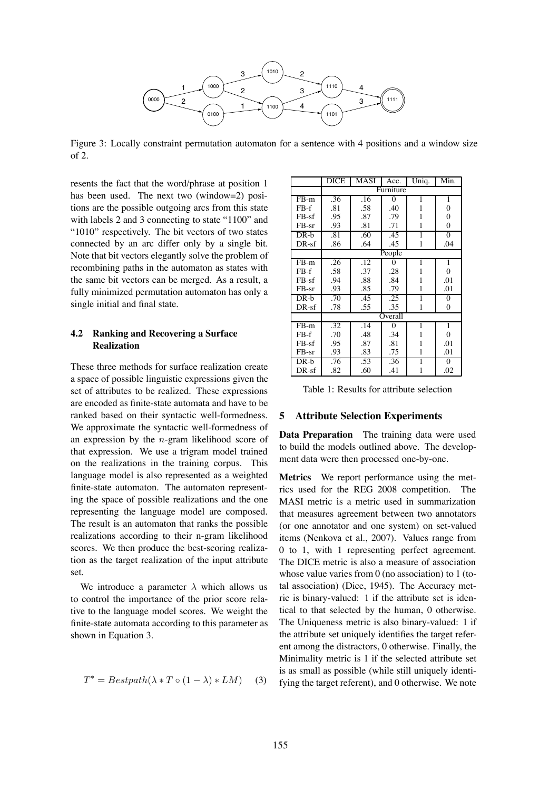

Figure 3: Locally constraint permutation automaton for a sentence with 4 positions and a window size of 2.

resents the fact that the word/phrase at position 1 has been used. The next two (window=2) positions are the possible outgoing arcs from this state with labels 2 and 3 connecting to state "1100" and "1010" respectively. The bit vectors of two states connected by an arc differ only by a single bit. Note that bit vectors elegantly solve the problem of recombining paths in the automaton as states with the same bit vectors can be merged. As a result, a fully minimized permutation automaton has only a single initial and final state.

# **4.2 Ranking and Recovering a Surface Realization**

These three methods for surface realization create a space of possible linguistic expressions given the set of attributes to be realized. These expressions are encoded as finite-state automata and have to be ranked based on their syntactic well-formedness. We approximate the syntactic well-formedness of an expression by the  $n$ -gram likelihood score of that expression. We use a trigram model trained on the realizations in the training corpus. This language model is also represented as a weighted finite-state automaton. The automaton representing the space of possible realizations and the one representing the language model are composed. The result is an automaton that ranks the possible realizations according to their n-gram likelihood scores. We then produce the best-scoring realization as the target realization of the input attribute set.

We introduce a parameter  $\lambda$  which allows us to control the importance of the prior score relative to the language model scores. We weight the finite-state automata according to this parameter as shown in Equation 3.

$$
T^* = Bestpath(\lambda * T \circ (1 - \lambda) * LM)
$$
 (3)

|         | DICE             | MASI | Acc.           | Uniq.        | Min.     |  |  |  |
|---------|------------------|------|----------------|--------------|----------|--|--|--|
|         | Furniture        |      |                |              |          |  |  |  |
| $FB-m$  | .36              | .16  | $\theta$       | 1            | 1        |  |  |  |
| $FB-f$  | .81              | .58  | .40            | 1            | $\theta$ |  |  |  |
| $FB-sf$ | .95              | .87  | .79            | 1            | $\theta$ |  |  |  |
| $FB-sr$ | .93              | .81  | .71            | 1            | 0        |  |  |  |
| $DR-b$  | .81              | .60  | .45            | 1            | $\Omega$ |  |  |  |
| $DR-sf$ | .86              | .64  | .45            | 1            | .04      |  |  |  |
|         | People           |      |                |              |          |  |  |  |
| $FB-m$  | .26              | .12  | 0              | 1            | 1        |  |  |  |
| $FB-f$  | .58              | .37  | .28            | 1            | 0        |  |  |  |
| $FB-sf$ | .94              | .88  | .84            | 1            | .01      |  |  |  |
| $FB-sr$ | .93              | .85  | .79            | 1            | .01      |  |  |  |
| $DR-b$  | $\overline{.70}$ | .45  | .25            | 1            | $\theta$ |  |  |  |
| $DR-sf$ | .78              | .55  | .35            | $\mathbf{1}$ | 0        |  |  |  |
|         | Overall          |      |                |              |          |  |  |  |
| $FB-m$  | .32              | .14  | $\overline{0}$ | 1            | 1        |  |  |  |
| $FB-f$  | .70              | .48  | .34            | 1            | $\theta$ |  |  |  |
| $FB-sf$ | .95              | .87  | .81            | 1            | .01      |  |  |  |
| $FB-sr$ | .93              | .83  | .75            | 1            | .01      |  |  |  |
| $DR-b$  | .76              | .53  | .36            | 1            | $\Omega$ |  |  |  |
| $DR-sf$ | .82              | .60  | .41            | 1            | .02      |  |  |  |

Table 1: Results for attribute selection

### **5 Attribute Selection Experiments**

**Data Preparation** The training data were used to build the models outlined above. The development data were then processed one-by-one.

**Metrics** We report performance using the metrics used for the REG 2008 competition. The MASI metric is a metric used in summarization that measures agreement between two annotators (or one annotator and one system) on set-valued items (Nenkova et al., 2007). Values range from 0 to 1, with 1 representing perfect agreement. The DICE metric is also a measure of association whose value varies from 0 (no association) to 1 (total association) (Dice, 1945). The Accuracy metric is binary-valued: 1 if the attribute set is identical to that selected by the human, 0 otherwise. The Uniqueness metric is also binary-valued: 1 if the attribute set uniquely identifies the target referent among the distractors, 0 otherwise. Finally, the Minimality metric is 1 if the selected attribute set is as small as possible (while still uniquely identifying the target referent), and 0 otherwise. We note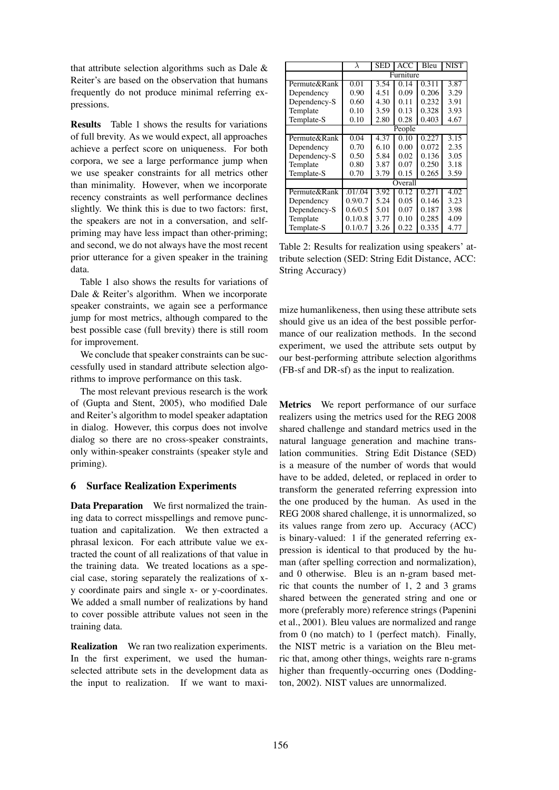that attribute selection algorithms such as Dale & Reiter's are based on the observation that humans frequently do not produce minimal referring expressions.

**Results** Table 1 shows the results for variations of full brevity. As we would expect, all approaches achieve a perfect score on uniqueness. For both corpora, we see a large performance jump when we use speaker constraints for all metrics other than minimality. However, when we incorporate recency constraints as well performance declines slightly. We think this is due to two factors: first, the speakers are not in a conversation, and selfpriming may have less impact than other-priming; and second, we do not always have the most recent prior utterance for a given speaker in the training data.

Table 1 also shows the results for variations of Dale & Reiter's algorithm. When we incorporate speaker constraints, we again see a performance jump for most metrics, although compared to the best possible case (full brevity) there is still room for improvement.

We conclude that speaker constraints can be successfully used in standard attribute selection algorithms to improve performance on this task.

The most relevant previous research is the work of (Gupta and Stent, 2005), who modified Dale and Reiter's algorithm to model speaker adaptation in dialog. However, this corpus does not involve dialog so there are no cross-speaker constraints, only within-speaker constraints (speaker style and priming).

# **6 Surface Realization Experiments**

**Data Preparation** We first normalized the training data to correct misspellings and remove punctuation and capitalization. We then extracted a phrasal lexicon. For each attribute value we extracted the count of all realizations of that value in the training data. We treated locations as a special case, storing separately the realizations of xy coordinate pairs and single x- or y-coordinates. We added a small number of realizations by hand to cover possible attribute values not seen in the training data.

**Realization** We ran two realization experiments. In the first experiment, we used the humanselected attribute sets in the development data as the input to realization. If we want to maxi-

|              | λ         | SED  | ACC  | Bleu  | NIST |  |  |
|--------------|-----------|------|------|-------|------|--|--|
|              | Furniture |      |      |       |      |  |  |
| Permute&Rank | 0.01      | 3.54 | 0.14 | 0.311 | 3.87 |  |  |
| Dependency   | 0.90      | 4.51 | 0.09 | 0.206 | 3.29 |  |  |
| Dependency-S | 0.60      | 4.30 | 0.11 | 0.232 | 3.91 |  |  |
| Template     | 0.10      | 3.59 | 0.13 | 0.328 | 3.93 |  |  |
| Template-S   | 0.10      | 2.80 | 0.28 | 0.403 | 4.67 |  |  |
|              | People    |      |      |       |      |  |  |
| Permute&Rank | 0.04      | 4.37 | 0.10 | 0.227 | 3.15 |  |  |
| Dependency   | 0.70      | 6.10 | 0.00 | 0.072 | 2.35 |  |  |
| Dependency-S | 0.50      | 5.84 | 0.02 | 0.136 | 3.05 |  |  |
| Template     | 0.80      | 3.87 | 0.07 | 0.250 | 3.18 |  |  |
| Template-S   | 0.70      | 3.79 | 0.15 | 0.265 | 3.59 |  |  |
|              | Overall   |      |      |       |      |  |  |
| Permute&Rank | .01/0.04  | 3.92 | 0.12 | 0.271 | 4.02 |  |  |
| Dependency   | 0.9/0.7   | 5.24 | 0.05 | 0.146 | 3.23 |  |  |
| Dependency-S | 0.6/0.5   | 5.01 | 0.07 | 0.187 | 3.98 |  |  |
| Template     | 0.1/0.8   | 3.77 | 0.10 | 0.285 | 4.09 |  |  |
| Template-S   | 0.1/0.7   | 3.26 | 0.22 | 0.335 | 4.77 |  |  |

Table 2: Results for realization using speakers' attribute selection (SED: String Edit Distance, ACC: String Accuracy)

mize humanlikeness, then using these attribute sets should give us an idea of the best possible performance of our realization methods. In the second experiment, we used the attribute sets output by our best-performing attribute selection algorithms (FB-sf and DR-sf) as the input to realization.

**Metrics** We report performance of our surface realizers using the metrics used for the REG 2008 shared challenge and standard metrics used in the natural language generation and machine translation communities. String Edit Distance (SED) is a measure of the number of words that would have to be added, deleted, or replaced in order to transform the generated referring expression into the one produced by the human. As used in the REG 2008 shared challenge, it is unnormalized, so its values range from zero up. Accuracy (ACC) is binary-valued: 1 if the generated referring expression is identical to that produced by the human (after spelling correction and normalization), and 0 otherwise. Bleu is an n-gram based metric that counts the number of 1, 2 and 3 grams shared between the generated string and one or more (preferably more) reference strings (Papenini et al., 2001). Bleu values are normalized and range from 0 (no match) to 1 (perfect match). Finally, the NIST metric is a variation on the Bleu metric that, among other things, weights rare n-grams higher than frequently-occurring ones (Doddington, 2002). NIST values are unnormalized.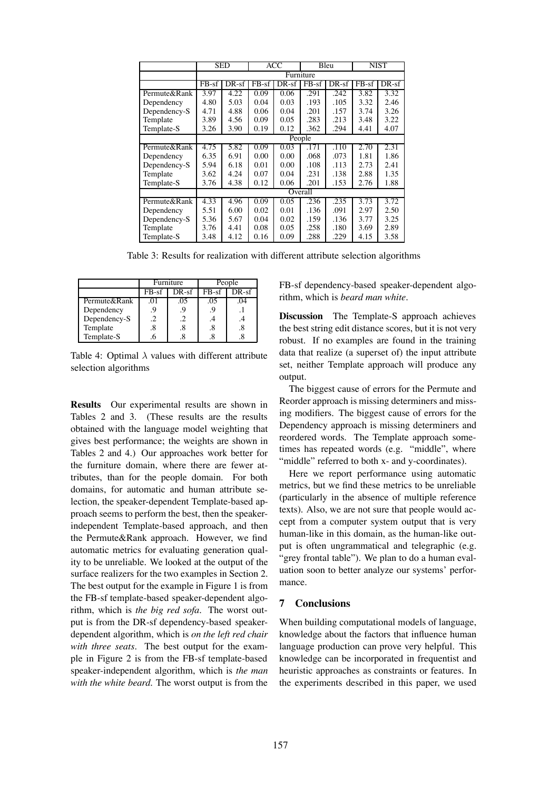|              | <b>SED</b> |         | ACC     |         | Bleu    |       | NIST                |         |
|--------------|------------|---------|---------|---------|---------|-------|---------------------|---------|
|              | Furniture  |         |         |         |         |       |                     |         |
|              | $FB-sf$    | $DR-sf$ | $FB-sf$ | $DR-sf$ | $FB-sf$ | DR-sf | $\overline{FB}$ -sf | $DR-sf$ |
| Permute&Rank | 3.97       | 4.22    | 0.09    | 0.06    | .291    | .242  | 3.82                | 3.32    |
| Dependency   | 4.80       | 5.03    | 0.04    | 0.03    | .193    | .105  | 3.32                | 2.46    |
| Dependency-S | 4.71       | 4.88    | 0.06    | 0.04    | .201    | .157  | 3.74                | 3.26    |
| Template     | 3.89       | 4.56    | 0.09    | 0.05    | .283    | .213  | 3.48                | 3.22    |
| Template-S   | 3.26       | 3.90    | 0.19    | 0.12    | .362    | .294  | 4.41                | 4.07    |
|              | People     |         |         |         |         |       |                     |         |
| Permute&Rank | 4.75       | 5.82    | 0.09    | 0.03    | .171    | .110  | 2.70                | 2.31    |
| Dependency   | 6.35       | 6.91    | 0.00    | 0.00    | .068    | .073  | 1.81                | 1.86    |
| Dependency-S | 5.94       | 6.18    | 0.01    | 0.00    | .108    | .113  | 2.73                | 2.41    |
| Template     | 3.62       | 4.24    | 0.07    | 0.04    | .231    | .138  | 2.88                | 1.35    |
| Template-S   | 3.76       | 4.38    | 0.12    | 0.06    | .201    | .153  | 2.76                | 1.88    |
|              | Overall    |         |         |         |         |       |                     |         |
| Permute&Rank | 4.33       | 4.96    | 0.09    | 0.05    | .236    | .235  | 3.73                | 3.72    |
| Dependency   | 5.51       | 6.00    | 0.02    | 0.01    | .136    | .091  | 2.97                | 2.50    |
| Dependency-S | 5.36       | 5.67    | 0.04    | 0.02    | .159    | .136  | 3.77                | 3.25    |
| Template     | 3.76       | 4.41    | 0.08    | 0.05    | .258    | .180  | 3.69                | 2.89    |
| Template-S   | 3.48       | 4.12    | 0.16    | 0.09    | .288    | .229  | 4.15                | 3.58    |

Table 3: Results for realization with different attribute selection algorithms

|              |         | <b>Furniture</b> | People  |       |  |
|--------------|---------|------------------|---------|-------|--|
|              | $FB-sf$ | DR-sf            | $FB-sf$ | DR-sf |  |
| Permute&Rank | .01     | .05              | .05     | .04   |  |
| Dependency   | 9.      | 9                | . မ     |       |  |
| Dependency-S | .2      | .2               | .4      |       |  |
| Template     | .8      | .8               | .8      | .8    |  |
| Template-S   |         |                  |         |       |  |

Table 4: Optimal  $\lambda$  values with different attribute selection algorithms

**Results** Our experimental results are shown in Tables 2 and 3. (These results are the results obtained with the language model weighting that gives best performance; the weights are shown in Tables 2 and 4.) Our approaches work better for the furniture domain, where there are fewer attributes, than for the people domain. For both domains, for automatic and human attribute selection, the speaker-dependent Template-based approach seems to perform the best, then the speakerindependent Template-based approach, and then the Permute&Rank approach. However, we find automatic metrics for evaluating generation quality to be unreliable. We looked at the output of the surface realizers for the two examples in Section 2. The best output for the example in Figure 1 is from the FB-sf template-based speaker-dependent algorithm, which is *the big red sofa*. The worst output is from the DR-sf dependency-based speakerdependent algorithm, which is *on the left red chair with three seats*. The best output for the example in Figure 2 is from the FB-sf template-based speaker-independent algorithm, which is *the man with the white beard*. The worst output is from the FB-sf dependency-based speaker-dependent algorithm, which is *beard man white*.

**Discussion** The Template-S approach achieves the best string edit distance scores, but it is not very robust. If no examples are found in the training data that realize (a superset of) the input attribute set, neither Template approach will produce any output.

The biggest cause of errors for the Permute and Reorder approach is missing determiners and missing modifiers. The biggest cause of errors for the Dependency approach is missing determiners and reordered words. The Template approach sometimes has repeated words (e.g. "middle", where "middle" referred to both x- and y-coordinates).

Here we report performance using automatic metrics, but we find these metrics to be unreliable (particularly in the absence of multiple reference texts). Also, we are not sure that people would accept from a computer system output that is very human-like in this domain, as the human-like output is often ungrammatical and telegraphic (e.g. "grey frontal table"). We plan to do a human evaluation soon to better analyze our systems' performance.

#### **7 Conclusions**

When building computational models of language, knowledge about the factors that influence human language production can prove very helpful. This knowledge can be incorporated in frequentist and heuristic approaches as constraints or features. In the experiments described in this paper, we used